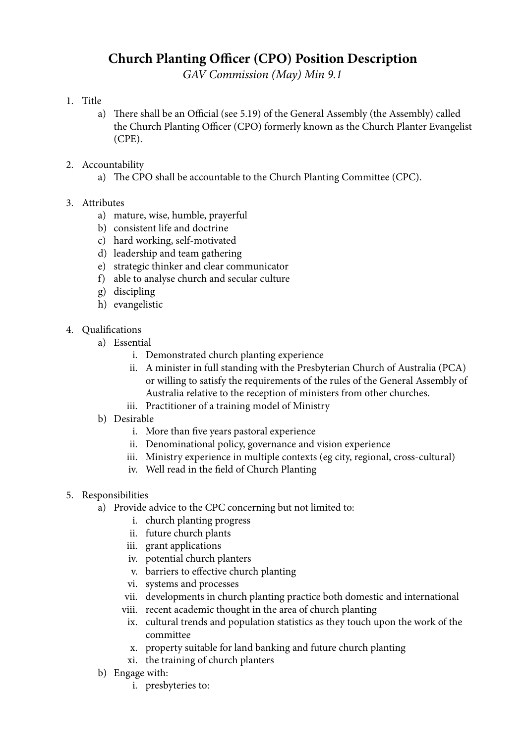## **Church Planting Officer (CPO) Position Description**

*GAV Commission (May) Min 9.1*

## 1. Title

- a) There shall be an Official (see 5.19) of the General Assembly (the Assembly) called the Church Planting Officer (CPO) formerly known as the Church Planter Evangelist (CPE).
- 2. Accountability
	- a) The CPO shall be accountable to the Church Planting Committee (CPC).
- 3. Attributes
	- a) mature, wise, humble, prayerful
	- b) consistent life and doctrine
	- c) hard working, self-motivated
	- d) leadership and team gathering
	- e) strategic thinker and clear communicator
	- f) able to analyse church and secular culture
	- g) discipling
	- h) evangelistic
- 4. Qualifications
	- a) Essential
		- i. Demonstrated church planting experience
		- ii. A minister in full standing with the Presbyterian Church of Australia (PCA) or willing to satisfy the requirements of the rules of the General Assembly of Australia relative to the reception of ministers from other churches.
		- iii. Practitioner of a training model of Ministry
	- b) Desirable
		- i. More than five years pastoral experience
		- ii. Denominational policy, governance and vision experience
		- iii. Ministry experience in multiple contexts (eg city, regional, cross-cultural)
		- iv. Well read in the field of Church Planting
- 5. Responsibilities
	- a) Provide advice to the CPC concerning but not limited to:
		- i. church planting progress
		- ii. future church plants
		- iii. grant applications
		- iv. potential church planters
		- v. barriers to effective church planting
		- vi. systems and processes
		- vii. developments in church planting practice both domestic and international
		- viii. recent academic thought in the area of church planting
			- ix. cultural trends and population statistics as they touch upon the work of the committee
			- x. property suitable for land banking and future church planting
			- xi. the training of church planters
	- b) Engage with:
		- i. presbyteries to: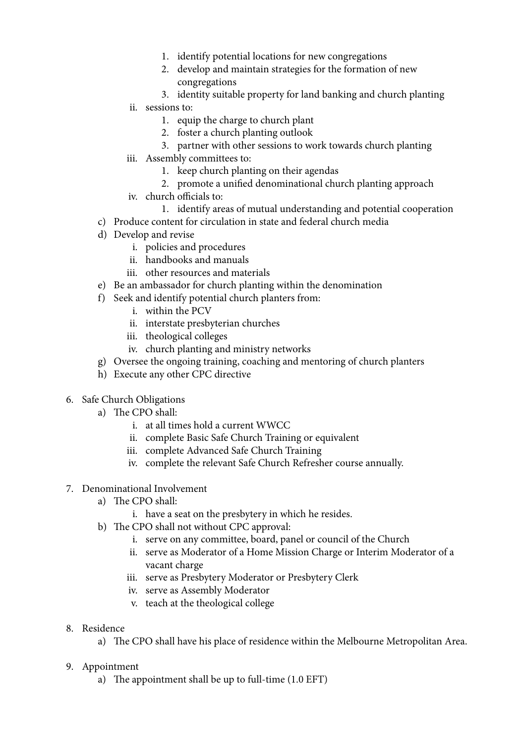- 1. identify potential locations for new congregations
- 2. develop and maintain strategies for the formation of new congregations
- 3. identity suitable property for land banking and church planting
- ii. sessions to:
	- 1. equip the charge to church plant
	- 2. foster a church planting outlook
	- 3. partner with other sessions to work towards church planting
- iii. Assembly committees to:
	- 1. keep church planting on their agendas
	- 2. promote a unified denominational church planting approach
- iv. church officials to:
	- 1. identify areas of mutual understanding and potential cooperation
- c) Produce content for circulation in state and federal church media
- d) Develop and revise
	- i. policies and procedures
	- ii. handbooks and manuals
	- iii. other resources and materials
- e) Be an ambassador for church planting within the denomination
- f) Seek and identify potential church planters from:
	- i. within the PCV
	- ii. interstate presbyterian churches
	- iii. theological colleges
	- iv. church planting and ministry networks
- g) Oversee the ongoing training, coaching and mentoring of church planters
- h) Execute any other CPC directive
- 6. Safe Church Obligations
	- a) The CPO shall:
		- i. at all times hold a current WWCC
		- ii. complete Basic Safe Church Training or equivalent
		- iii. complete Advanced Safe Church Training
		- iv. complete the relevant Safe Church Refresher course annually.
- 7. Denominational Involvement
	- a) The CPO shall:
		- i. have a seat on the presbytery in which he resides.
	- b) The CPO shall not without CPC approval:
		- i. serve on any committee, board, panel or council of the Church
		- ii. serve as Moderator of a Home Mission Charge or Interim Moderator of a vacant charge
		- iii. serve as Presbytery Moderator or Presbytery Clerk
		- iv. serve as Assembly Moderator
		- v. teach at the theological college
- 8. Residence
	- a) The CPO shall have his place of residence within the Melbourne Metropolitan Area.
- 9. Appointment
	- a) The appointment shall be up to full-time (1.0 EFT)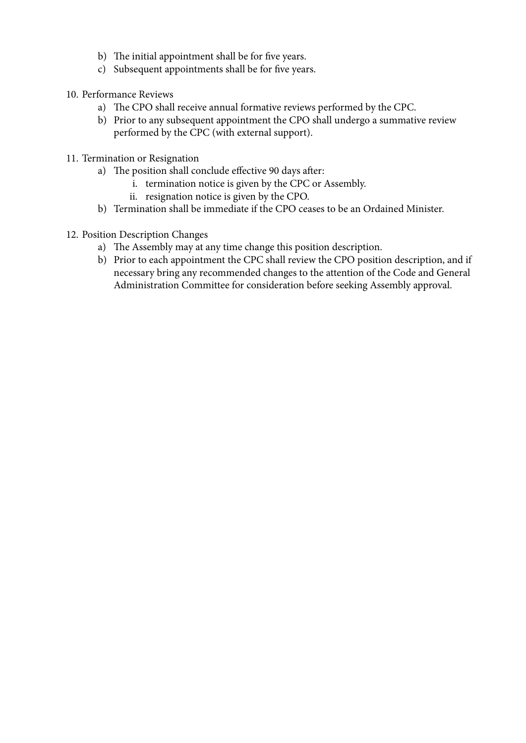- b) The initial appointment shall be for five years.
- c) Subsequent appointments shall be for five years.
- 10. Performance Reviews
	- a) The CPO shall receive annual formative reviews performed by the CPC.
	- b) Prior to any subsequent appointment the CPO shall undergo a summative review performed by the CPC (with external support).
- 11. Termination or Resignation
	- a) The position shall conclude effective 90 days after:
		- i. termination notice is given by the CPC or Assembly.
		- ii. resignation notice is given by the CPO.
	- b) Termination shall be immediate if the CPO ceases to be an Ordained Minister.
- 12. Position Description Changes
	- a) The Assembly may at any time change this position description.
	- b) Prior to each appointment the CPC shall review the CPO position description, and if necessary bring any recommended changes to the attention of the Code and General Administration Committee for consideration before seeking Assembly approval.